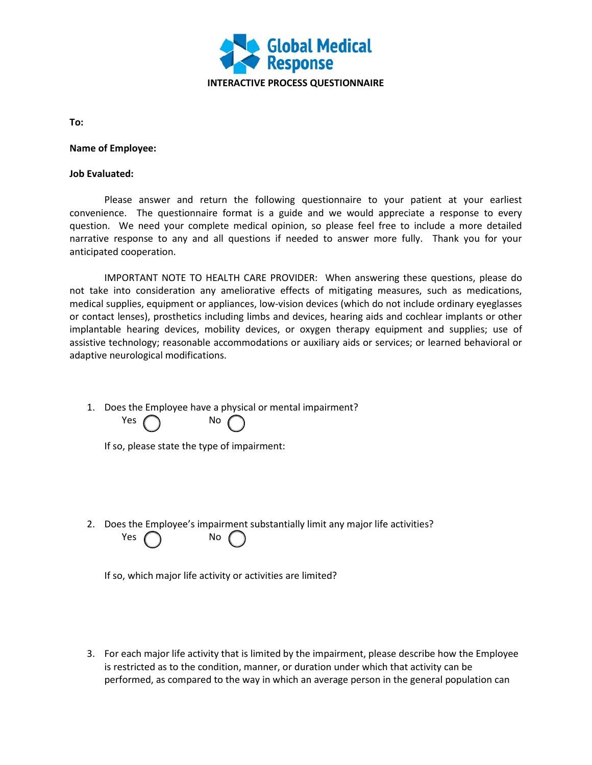

**To:**

**Name of Employee:** 

## **Job Evaluated:**

Please answer and return the following questionnaire to your patient at your earliest convenience. The questionnaire format is a guide and we would appreciate a response to every question. We need your complete medical opinion, so please feel free to include a more detailed narrative response to any and all questions if needed to answer more fully. Thank you for your anticipated cooperation.

IMPORTANT NOTE TO HEALTH CARE PROVIDER: When answering these questions, please do not take into consideration any ameliorative effects of mitigating measures, such as medications, medical supplies, equipment or appliances, low-vision devices (which do not include ordinary eyeglasses or contact lenses), prosthetics including limbs and devices, hearing aids and cochlear implants or other implantable hearing devices, mobility devices, or oxygen therapy equipment and supplies; use of assistive technology; reasonable accommodations or auxiliary aids or services; or learned behavioral or adaptive neurological modifications.

1. Does the Employee have a physical or mental impairment? Yes

|  | No |
|--|----|

|  |  |  | If so, please state the type of impairment: |
|--|--|--|---------------------------------------------|
|  |  |  |                                             |

2. Does the Employee's impairment substantially limit any major life activities? Yes  $\bigcap$  No (

If so, which major life activity or activities are limited?

3. For each major life activity that is limited by the impairment, please describe how the Employee is restricted as to the condition, manner, or duration under which that activity can be performed, as compared to the way in which an average person in the general population can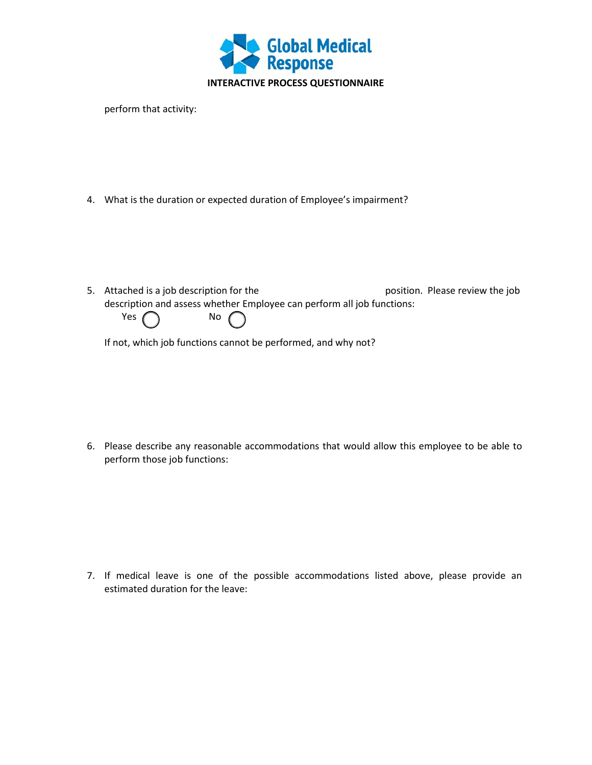

perform that activity:

4. What is the duration or expected duration of Employee's impairment?

5. Attached is a job description for the position. Please review the job description and assess whether Employee can perform all job functions:



If not, which job functions cannot be performed, and why not?

6. Please describe any reasonable accommodations that would allow this employee to be able to perform those job functions:

7. If medical leave is one of the possible accommodations listed above, please provide an estimated duration for the leave: